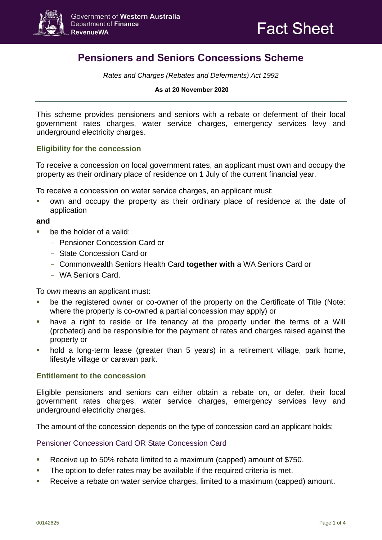

# **Pensioners and Seniors Concessions Scheme**

*Rates and Charges (Rebates and Deferments) Act 1992*

#### **As at 20 November 2020**

This scheme provides pensioners and seniors with a rebate or deferment of their local government rates charges, water service charges, emergency services levy and underground electricity charges.

## **Eligibility for the concession**

To receive a concession on local government rates, an applicant must own and occupy the property as their ordinary place of residence on 1 July of the current financial year.

To receive a concession on water service charges, an applicant must:

 own and occupy the property as their ordinary place of residence at the date of application

#### **and**

- be the holder of a valid:
	- Pensioner Concession Card or
	- State Concession Card or
	- Commonwealth Seniors Health Card **together with** a WA Seniors Card or
	- WA Seniors Card.

To *own* means an applicant must:

- be the registered owner or co-owner of the property on the Certificate of Title (Note: where the property is co-owned a partial concession may apply) or
- have a right to reside or life tenancy at the property under the terms of a Will (probated) and be responsible for the payment of rates and charges raised against the property or
- hold a long-term lease (greater than 5 years) in a retirement village, park home, lifestyle village or caravan park.

#### **Entitlement to the concession**

Eligible pensioners and seniors can either obtain a rebate on, or defer, their local government rates charges, water service charges, emergency services levy and underground electricity charges.

The amount of the concession depends on the type of concession card an applicant holds:

#### Pensioner Concession Card OR State Concession Card

- Receive up to 50% rebate limited to a maximum (capped) amount of \$750.
- The option to defer rates may be available if the required criteria is met.
- Receive a rebate on water service charges, limited to a maximum (capped) amount.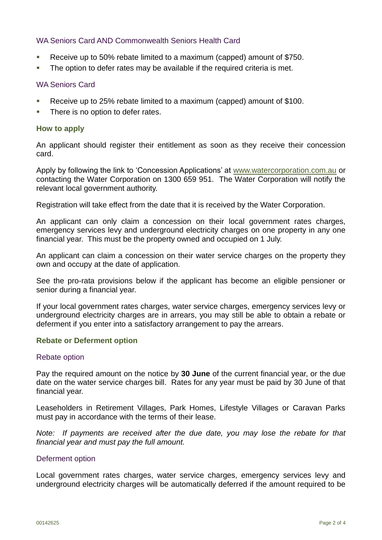## WA Seniors Card AND Commonwealth Seniors Health Card

- Receive up to 50% rebate limited to a maximum (capped) amount of \$750.
- The option to defer rates may be available if the required criteria is met.

## WA Seniors Card

- Receive up to 25% rebate limited to a maximum (capped) amount of \$100.
- **There is no option to defer rates.**

## **How to apply**

An applicant should register their entitlement as soon as they receive their concession card.

Apply by following the link to 'Concession Applications' at [www.watercorporation.com.au](http://www.watercorporation.com.au/) or contacting the Water Corporation on 1300 659 951. The Water Corporation will notify the relevant local government authority.

Registration will take effect from the date that it is received by the Water Corporation.

An applicant can only claim a concession on their local government rates charges, emergency services levy and underground electricity charges on one property in any one financial year. This must be the property owned and occupied on 1 July.

An applicant can claim a concession on their water service charges on the property they own and occupy at the date of application.

See the pro-rata provisions below if the applicant has become an eligible pensioner or senior during a financial year.

If your local government rates charges, water service charges, emergency services levy or underground electricity charges are in arrears, you may still be able to obtain a rebate or deferment if you enter into a satisfactory arrangement to pay the arrears.

#### **Rebate or Deferment option**

#### Rebate option

Pay the required amount on the notice by **30 June** of the current financial year, or the due date on the water service charges bill. Rates for any year must be paid by 30 June of that financial year.

Leaseholders in Retirement Villages, Park Homes, Lifestyle Villages or Caravan Parks must pay in accordance with the terms of their lease.

*Note: If payments are received after the due date, you may lose the rebate for that financial year and must pay the full amount.*

#### Deferment option

Local government rates charges, water service charges, emergency services levy and underground electricity charges will be automatically deferred if the amount required to be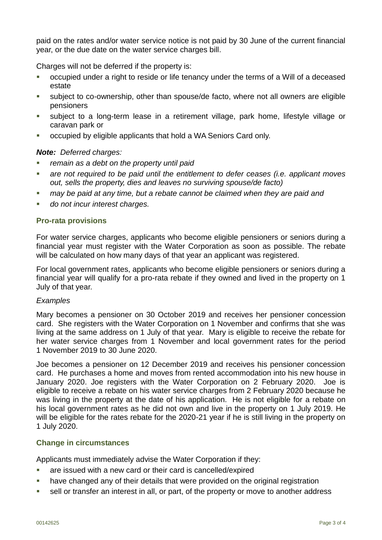paid on the rates and/or water service notice is not paid by 30 June of the current financial year, or the due date on the water service charges bill.

Charges will not be deferred if the property is:

- occupied under a right to reside or life tenancy under the terms of a Will of a deceased estate
- subject to co-ownership, other than spouse/de facto, where not all owners are eligible pensioners
- subject to a long-term lease in a retirement village, park home, lifestyle village or caravan park or
- occupied by eligible applicants that hold a WA Seniors Card only.

# *Note: Deferred charges:*

- *remain as a debt on the property until paid*
- *are not required to be paid until the entitlement to defer ceases (i.e. applicant moves out, sells the property, dies and leaves no surviving spouse/de facto)*
- **nay be paid at any time, but a rebate cannot be claimed when they are paid and**
- *do not incur interest charges.*

# **Pro-rata provisions**

For water service charges, applicants who become eligible pensioners or seniors during a financial year must register with the Water Corporation as soon as possible. The rebate will be calculated on how many days of that year an applicant was registered.

For local government rates, applicants who become eligible pensioners or seniors during a financial year will qualify for a pro-rata rebate if they owned and lived in the property on 1 July of that year.

## *Examples*

Mary becomes a pensioner on 30 October 2019 and receives her pensioner concession card. She registers with the Water Corporation on 1 November and confirms that she was living at the same address on 1 July of that year. Mary is eligible to receive the rebate for her water service charges from 1 November and local government rates for the period 1 November 2019 to 30 June 2020.

Joe becomes a pensioner on 12 December 2019 and receives his pensioner concession card. He purchases a home and moves from rented accommodation into his new house in January 2020. Joe registers with the Water Corporation on 2 February 2020. Joe is eligible to receive a rebate on his water service charges from 2 February 2020 because he was living in the property at the date of his application. He is not eligible for a rebate on his local government rates as he did not own and live in the property on 1 July 2019. He will be eligible for the rates rebate for the 2020-21 year if he is still living in the property on 1 July 2020.

## **Change in circumstances**

Applicants must immediately advise the Water Corporation if they:

- are issued with a new card or their card is cancelled/expired
- have changed any of their details that were provided on the original registration
- sell or transfer an interest in all, or part, of the property or move to another address